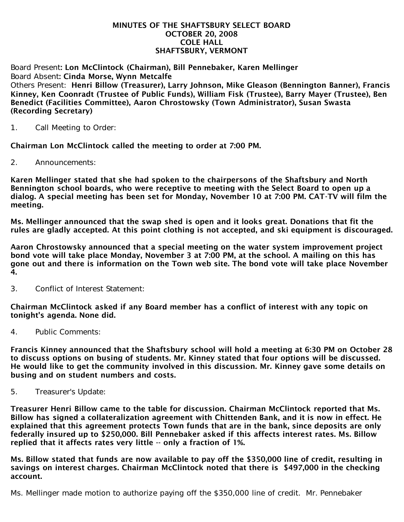#### MINUTES OF THE SHAFTSBURY SELECT BOARD OCTOBER 20, 2008 COLE HALL SHAFTSBURY, VERMONT

Board Present: Lon McClintock (Chairman), Bill Pennebaker, Karen Mellinger Board Absent: Cinda Morse, Wynn Metcalfe Others Present: Henri Billow (Treasurer), Larry Johnson, Mike Gleason (Bennington Banner), Francis Kinney, Ken Coonradt (Trustee of Public Funds), William Fisk (Trustee), Barry Mayer (Trustee), Ben Benedict (Facilities Committee), Aaron Chrostowsky (Town Administrator), Susan Swasta (Recording Secretary)

1. Call Meeting to Order:

Chairman Lon McClintock called the meeting to order at 7:00 PM.

2. Announcements:

Karen Mellinger stated that she had spoken to the chairpersons of the Shaftsbury and North Bennington school boards, who were receptive to meeting with the Select Board to open up a dialog. A special meeting has been set for Monday, November 10 at 7:00 PM. CAT-TV will film the meeting.

Ms. Mellinger announced that the swap shed is open and it looks great. Donations that fit the rules are gladly accepted. At this point clothing is not accepted, and ski equipment is discouraged.

Aaron Chrostowsky announced that a special meeting on the water system improvement project bond vote will take place Monday, November 3 at 7:00 PM, at the school. A mailing on this has gone out and there is information on the Town web site. The bond vote will take place November 4.

3. Conflict of Interest Statement:

Chairman McClintock asked if any Board member has a conflict of interest with any topic on tonight's agenda. None did.

4. Public Comments:

Francis Kinney announced that the Shaftsbury school will hold a meeting at 6:30 PM on October 28 to discuss options on busing of students. Mr. Kinney stated that four options will be discussed. He would like to get the community involved in this discussion. Mr. Kinney gave some details on busing and on student numbers and costs.

5. Treasurer's Update:

Treasurer Henri Billow came to the table for discussion. Chairman McClintock reported that Ms. Billow has signed a collateralization agreement with Chittenden Bank, and it is now in effect. He explained that this agreement protects Town funds that are in the bank, since deposits are only federally insured up to \$250,000. Bill Pennebaker asked if this affects interest rates. Ms. Billow replied that it affects rates very little -- only a fraction of 1%.

Ms. Billow stated that funds are now available to pay off the \$350,000 line of credit, resulting in savings on interest charges. Chairman McClintock noted that there is \$497,000 in the checking account.

Ms. Mellinger made motion to authorize paying off the \$350,000 line of credit. Mr. Pennebaker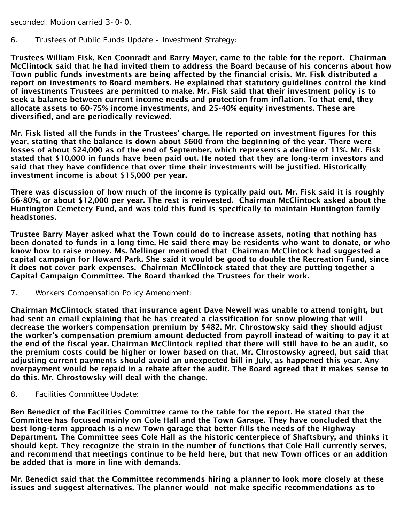seconded. Motion carried 3-0-0.

6. Trustees of Public Funds Update - Investment Strategy:

Trustees William Fisk, Ken Coonradt and Barry Mayer, came to the table for the report. Chairman McClintock said that he had invited them to address the Board because of his concerns about how Town public funds investments are being affected by the financial crisis. Mr. Fisk distributed a report on investments to Board members. He explained that statutory guidelines control the kind of investments Trustees are permitted to make. Mr. Fisk said that their investment policy is to seek a balance between current income needs and protection from inflation. To that end, they allocate assets to 60-75% income investments, and 25-40% equity investments. These are diversified, and are periodically reviewed.

Mr. Fisk listed all the funds in the Trustees' charge. He reported on investment figures for this year, stating that the balance is down about \$600 from the beginning of the year. There were losses of about \$24,000 as of the end of September, which represents a decline of 11%. Mr. Fisk stated that \$10,000 in funds have been paid out. He noted that they are long-term investors and said that they have confidence that over time their investments will be justified. Historically investment income is about \$15,000 per year.

There was discussion of how much of the income is typically paid out. Mr. Fisk said it is roughly 66-80%, or about \$12,000 per year. The rest is reinvested. Chairman McClintock asked about the Huntington Cemetery Fund, and was told this fund is specifically to maintain Huntington family headstones.

Trustee Barry Mayer asked what the Town could do to increase assets, noting that nothing has been donated to funds in a long time. He said there may be residents who want to donate, or who know how to raise money. Ms. Mellinger mentioned that Chairman McClintock had suggested a capital campaign for Howard Park. She said it would be good to double the Recreation Fund, since it does not cover park expenses. Chairman McClintock stated that they are putting together a Capital Campaign Committee. The Board thanked the Trustees for their work.

7. Workers Compensation Policy Amendment:

Chairman McClintock stated that insurance agent Dave Newell was unable to attend tonight, but had sent an email explaining that he has created a classification for snow plowing that will decrease the workers compensation premium by \$482. Mr. Chrostowsky said they should adjust the worker's compensation premium amount deducted from payroll instead of waiting to pay it at the end of the fiscal year. Chairman McClintock replied that there will still have to be an audit, so the premium costs could be higher or lower based on that. Mr. Chrostowsky agreed, but said that adjusting current payments should avoid an unexpected bill in July, as happened this year. Any overpayment would be repaid in a rebate after the audit. The Board agreed that it makes sense to do this. Mr. Chrostowsky will deal with the change.

8. Facilities Committee Update:

Ben Benedict of the Facilities Committee came to the table for the report. He stated that the Committee has focused mainly on Cole Hall and the Town Garage. They have concluded that the best long-term approach is a new Town garage that better fills the needs of the Highway Department. The Committee sees Cole Hall as the historic centerpiece of Shaftsbury, and thinks it should kept. They recognize the strain in the number of functions that Cole Hall currently serves, and recommend that meetings continue to be held here, but that new Town offices or an addition be added that is more in line with demands.

Mr. Benedict said that the Committee recommends hiring a planner to look more closely at these issues and suggest alternatives. The planner would not make specific recommendations as to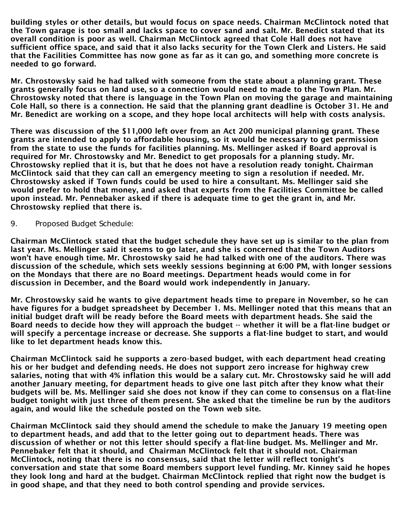building styles or other details, but would focus on space needs. Chairman McClintock noted that the Town garage is too small and lacks space to cover sand and salt. Mr. Benedict stated that its overall condition is poor as well. Chairman McClintock agreed that Cole Hall does not have sufficient office space, and said that it also lacks security for the Town Clerk and Listers. He said that the Facilities Committee has now gone as far as it can go, and something more concrete is needed to go forward.

Mr. Chrostowsky said he had talked with someone from the state about a planning grant. These grants generally focus on land use, so a connection would need to made to the Town Plan. Mr. Chrostowsky noted that there is language in the Town Plan on moving the garage and maintaining Cole Hall, so there is a connection. He said that the planning grant deadline is October 31. He and Mr. Benedict are working on a scope, and they hope local architects will help with costs analysis.

There was discussion of the \$11,000 left over from an Act 200 municipal planning grant. These grants are intended to apply to affordable housing, so it would be necessary to get permission from the state to use the funds for facilities planning. Ms. Mellinger asked if Board approval is required for Mr. Chrostowsky and Mr. Benedict to get proposals for a planning study. Mr. Chrostowsky replied that it is, but that he does not have a resolution ready tonight. Chairman McClintock said that they can call an emergency meeting to sign a resolution if needed. Mr. Chrostowsky asked if Town funds could be used to hire a consultant. Ms. Mellinger said she would prefer to hold that money, and asked that experts from the Facilities Committee be called upon instead. Mr. Pennebaker asked if there is adequate time to get the grant in, and Mr. Chrostowsky replied that there is.

9. Proposed Budget Schedule:

Chairman McClintock stated that the budget schedule they have set up is similar to the plan from last year. Ms. Mellinger said it seems to go later, and she is concerned that the Town Auditors won't have enough time. Mr. Chrostowsky said he had talked with one of the auditors. There was discussion of the schedule, which sets weekly sessions beginning at 6:00 PM, with longer sessions on the Mondays that there are no Board meetings. Department heads would come in for discussion in December, and the Board would work independently in January.

Mr. Chrostowsky said he wants to give department heads time to prepare in November, so he can have figures for a budget spreadsheet by December 1. Ms. Mellinger noted that this means that an initial budget draft will be ready before the Board meets with department heads. She said the Board needs to decide how they will approach the budget -- whether it will be a flat-line budget or will specify a percentage increase or decrease. She supports a flat-line budget to start, and would like to let department heads know this.

Chairman McClintock said he supports a zero-based budget, with each department head creating his or her budget and defending needs. He does not support zero increase for highway crew salaries, noting that with 4% inflation this would be a salary cut. Mr. Chrostowsky said he will add another January meeting, for department heads to give one last pitch after they know what their budgets will be. Ms. Mellinger said she does not know if they can come to consensus on a flat-line budget tonight with just three of them present. She asked that the timeline be run by the auditors again, and would like the schedule posted on the Town web site.

Chairman McClintock said they should amend the schedule to make the January 19 meeting open to department heads, and add that to the letter going out to department heads. There was discussion of whether or not this letter should specify a flat-line budget. Ms. Mellinger and Mr. Pennebaker felt that it should, and Chairman McClintock felt that it should not. Chairman McClintock, noting that there is no consensus, said that the letter will reflect tonight's conversation and state that some Board members support level funding. Mr. Kinney said he hopes they look long and hard at the budget. Chairman McClintock replied that right now the budget is in good shape, and that they need to both control spending and provide services.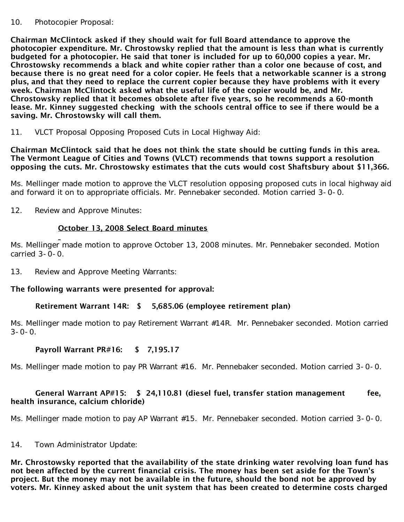#### 10. Photocopier Proposal:

Chairman McClintock asked if they should wait for full Board attendance to approve the photocopier expenditure. Mr. Chrostowsky replied that the amount is less than what is currently budgeted for a photocopier. He said that toner is included for up to 60,000 copies a year. Mr. Chrostowsky recommends a black and white copier rather than a color one because of cost, and because there is no great need for a color copier. He feels that a networkable scanner is a strong plus, and that they need to replace the current copier because they have problems with it every week. Chairman McClintock asked what the useful life of the copier would be, and Mr. Chrostowsky replied that it becomes obsolete after five years, so he recommends a 60-month lease. Mr. Kinney suggested checking with the schools central office to see if there would be a saving. Mr. Chrostowsky will call them.

11. VLCT Proposal Opposing Proposed Cuts in Local Highway Aid:

#### Chairman McClintock said that he does not think the state should be cutting funds in this area. The Vermont League of Cities and Towns (VLCT) recommends that towns support a resolution opposing the cuts. Mr. Chrostowsky estimates that the cuts would cost Shaftsbury about \$11,366.

Ms. Mellinger made motion to approve the VLCT resolution opposing proposed cuts in local highway aid and forward it on to appropriate officials. Mr. Pennebaker seconded. Motion carried 3-0-0.

12. Review and Approve Minutes:

# October 13, 2008 Select Board minutes

Ms. Mellinger made motion to approve October 13, 2008 minutes. Mr. Pennebaker seconded. Motion carried 3-0-0.

13. Review and Approve Meeting Warrants:

## The following warrants were presented for approval:

## Retirement Warrant 14R: \$ 5,685.06 (employee retirement plan)

Ms. Mellinger made motion to pay Retirement Warrant #14R. Mr. Pennebaker seconded. Motion carried  $3 - 0 - 0$ .

# Payroll Warrant PR#16: \$ 7,195.17

Ms. Mellinger made motion to pay PR Warrant #16. Mr. Pennebaker seconded. Motion carried 3-0-0.

## General Warrant AP#15: \$ 24,110.81 (diesel fuel, transfer station management fee, health insurance, calcium chloride)

Ms. Mellinger made motion to pay AP Warrant #15. Mr. Pennebaker seconded. Motion carried 3-0-0.

14. Town Administrator Update:

Mr. Chrostowsky reported that the availability of the state drinking water revolving loan fund has not been affected by the current financial crisis. The money has been set aside for the Town's project. But the money may not be available in the future, should the bond not be approved by voters. Mr. Kinney asked about the unit system that has been created to determine costs charged